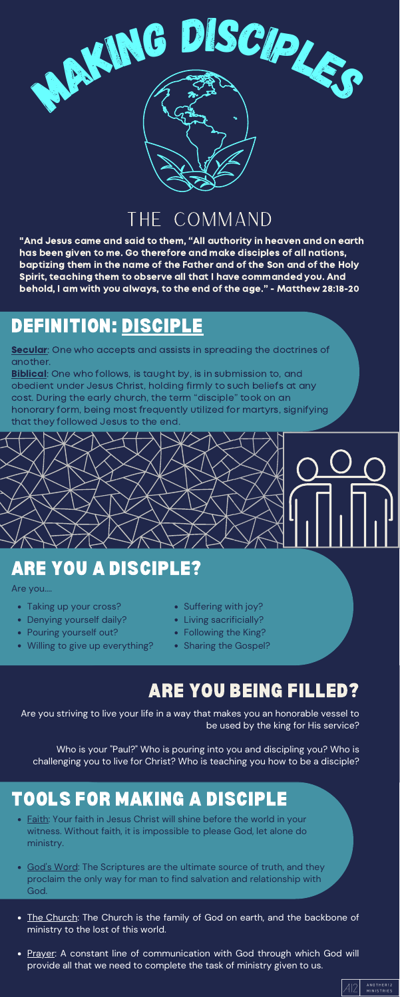

#### DEFINITION: DISCIPLE

Secular: One who accepts and assists in spreading the doctrines of another.

**Biblical:** One who follows, is taught by, is in submission to, and obedient under Jesus Christ, holding firmly to such beliefs at any cost. During the early church, the term "disciple" took on an honorary form, being most frequently utilized for martyrs, signifying that they followed Jesus to the end.

### THE COMMAND

### ARE YOU A DISCIPLE?

Are you....

- Taking up your cross?
- Denying yourself daily?
- Pouring yourself out?
- Willing to give up everything?
- Suffering with joy?
- Living sacrificially?
- Following the King?
- Sharing the Gospel?

### TOOLS FOR MAKING A DISCIPLE

#### ARE YOU BEING FILLED?

- Faith: Your faith in Jesus Christ will shine before the world in your witness. Without faith, it is impossible to please God, let alone do ministry.
- God's Word: The Scriptures are the ultimate source of truth, and they proclaim the only way for man to find salvation and relationship with God.
- The Church: The Church is the family of God on earth, and the backbone of ministry to the lost of this world.
- Prayer: A constant line of communication with God through which God will provide all that we need to complete the task of ministry given to us.



Are you striving to live your life in a way that makes you an honorable vessel to be used by the king for His service?

Who is your "Paul?" Who is pouring into you and discipling you? Who is challenging you to live for Christ? Who is teaching you how to be a disciple?

"And Jesus came and said to them, "All authority in heaven and on earth has been given to me. Go therefore and make disciples of all nations, baptizing them in the name of the Father and of the Son and of the Holy Spirit, teaching them to observe all that I have commanded you. And behold, I am with you always, to the end of the age." - Matthew 28:18-20